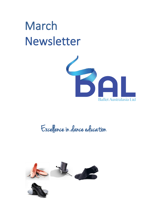# March Newsletter



# Excellence in dance education

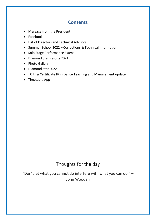### **Contents**

- Message from the President
- Facebook
- List of Directors and Technical Advisors
- Summer School 2022 Corrections & Technical Information
- Solo Stage Performance Exams
- Diamond Star Results 2021
- Photo Gallery
- Diamond Star 2022
- TC III & Certificate IV in Dance Teaching and Management update
- Timetable App

### Thoughts for the day

"Don't let what you cannot do interfere with what you can do." – John Wooden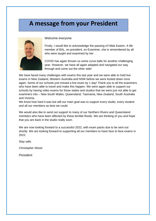### **A message from your President**



Welcome everyone.

Firstly, I would like to acknowledge the passing of Hilda Easton. A life member of BAL, ex-president, ex-Examiner, she is remembered by all who were taught and examined by her.

COVID has again thrown us some curve balls for another challenging year. However, we have all again adapted and navigated our way through and come out the other side!

We have faced many challenges with exams this last year and we were able to hold live exams in New Zealand, Western Australia and NSW before we were locked down once again. Some of our schools just missed a live exam by 1 day! Thank you to all the examiners who have been able to travel and make this happen. We were again able to support our schools by having video exams for those states and studios that we were just not able to get examiners into – New South Wales, Queensland, Tasmania, New Zealand, South Australia and Victoria.

We know how hard it was but still our main goal was to support every studio, every student and all our members as best we could.

We would also like to send out support to many of our Northern Rivers and Queensland members who have been affected by these terrible floods. We are thinking of you and hope that you are back in the studio really soon.

We are now looking forward to a successful 2022, with exam packs due to be sent out shortly. We are looking forward to supporting all our members to have face to face exams in 2022.

Stay safe*,*

*Christopher Wood.*

*President.*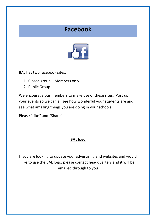# **Facebook**



BAL has two facebook sites.

- 1. Closed group Members only
- 2. Public Group

We encourage our members to make use of these sites. Post up your events so we can all see how wonderful your students are and see what amazing things you are doing in your schools.

Please "Like" and "Share"

### **BAL logo**

If you are looking to update your advertising and websites and would like to use the BAL logo, please contact headquarters and it will be emailed through to you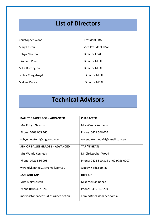# **List of Directors**

| Christopher Wood  | <b>President FBAL</b>      |
|-------------------|----------------------------|
| Mary Easton       | <b>Vice President FBAL</b> |
| Robyn Newton      | Director FBAL              |
| Elizabeth Pike    | Director MBAL              |
| Mike Dorrington   | Director MBAL              |
| Lynley Murgatroyd | Director MBAL              |
| Melissa Dance     | Director MBAL              |

# **Technical Advisors**

| <b>BALLET GRADES BEG - ADVANCED</b>     | <b>CHARACTER</b>                    |
|-----------------------------------------|-------------------------------------|
| Mrs Robyn Newton                        | Mrs Wendy Kennedy                   |
| Phone: 0408 005 460                     | Phone: 0421 566 005                 |
| robyn.newton1@bigpond.com               | wwendykennedy14@gmail.com.au        |
| <b>SENIOR BALLET GRADE 6 - ADVANCED</b> | TAP 'N' BEATS                       |
| Mrs Wendy Kennedy                       | Mr Christopher Wood                 |
| Phone: 0421 566 005                     | Phone: 0425 810 314 or 02 9756 0007 |
| wwendykennedy14@gmail.com.au            | woody@irdc.com.au                   |
| <b>JAZZ AND TAP</b>                     | <b>HIP HOP</b>                      |
| <b>Miss Mary Easton</b>                 | Miss Melissa Dance                  |
| Phone 0408 462 926                      | Phone: 0419 867 204                 |
| maryeastondancestudios@iinet.net.au     | admin@melissadance.com.au           |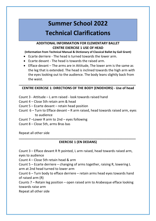# **Summer School 2022 Technical Clarifications**

#### **ADDITIONAL INFORMATION FOR ELEMENTARY BALLET CENTRE EXERCISE 1 USE OF HEAD**

**(Information from Technical Manual & Dictionary of Classical Ballet by Gail Grant)**

- Ecarte derriere The head is turned towards the lower arm.
- Ecarte devant The head is towards the raised arm.
- Efface devant The arms are in Attitude, The lower arm is the same as the leg that is extended. The head is inclined towards the high arm with the eyes looking out to the audience. The body leans slightly back from the waist.

#### **\_\_\_\_\_\_\_\_\_\_\_\_\_\_\_\_\_\_\_\_\_\_\_\_\_\_\_\_\_\_\_\_\_\_\_\_\_\_\_\_\_\_\_\_\_\_\_\_\_\_\_\_\_\_\_\_\_\_\_\_\_\_\_\_ CENTRE EXERCISE 1: DIRECTIONS OF THE BODY (ENDEHORS) - Use of head**

- Count 3 Attitude L arm raised look towards raised hand
- Count 4 Close 5th retain arm & head
- Count 5 Ecarte devant retain head position
- Count 6 Turn to Efface devant R arm raised, head towards raised arm, eyes to audience
- Count 7 –Lower R arm to 2nd eyes following
- Count 8 Close 5th, arms Bras bas

Repeat all other side

#### **\_\_\_\_\_\_\_\_\_\_\_\_\_\_\_\_\_\_\_\_\_\_\_\_\_\_\_\_\_\_\_\_\_\_\_\_\_\_\_\_\_\_\_\_\_\_\_\_\_\_\_\_\_\_\_\_\_\_\_\_\_\_\_\_ EXERCISE 1 (EN DEDANS)**

Count 3 – Efface devant R ft pointed, L arm raised, head towards raised arm, eyes to audience

Count 4 – Close 5th retain head & arm

Count 5 – Ecarte derriere – changing of arms together, raising R, lowering L arm at 2nd head turned to lower arm

Count 6 – Turn body to efface derriere – retain arms head eyes towards hand of raised arm (R)

Counts 7 – Retain leg position – open raised arm to Arabesque efface looking towards raise arm

Repeat all other side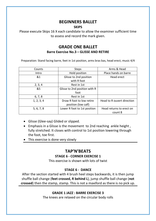### **BEGINNERS BALLET**

#### **SKIPS**

Please execute Skips 16 X each candidate to allow the examiner sufficient time to assess and record the mark given.

### **GRADE ONE BALLET Barre Exercise No.3 – GLISSE AND RETIRE**

Preparation: Stand facing barre, feet in 1st position, arms bras bas, head erect, music 4/4

| Counts     | <b>Steps</b>                                     | Arms & Head                         |
|------------|--------------------------------------------------|-------------------------------------|
| Intro      | Hold position                                    | Place hands on barre                |
| 81         | Glisse to 2nd position<br>with R foot            | Head erect                          |
| 2, 3, 4    | Rest in 1st                                      |                                     |
| &5         | Glisse to 2nd position with R<br>foot            |                                     |
| 6, 7, 8    | Rest in 1st                                      |                                     |
| 1, 2, 3, 4 | Draw R foot to low retire<br>position (low calf) | Head to R ouvert direction          |
| 5, 6, 7, 8 | Lower R foot to 1st position                     | Head returns to erect on<br>count 8 |

- Glisse (Glee-say) Glided or slipped.
- Emphasis in a Glisse is the movement to 2nd reaching ankle height , fully stretched. It closes with control to 1st position lowering through the foot, toe first.
- This exercise is done very slowly

### **TAP'N'BEATS**

#### **STAGE 6 - CORNER EXERCISE 1**

This exercise is shown with lots of twist

#### **STAGE 6 - DANCE**

After the section started with 4 brush heel steps backwards, it is then jump shuffle ball change (**feet crossed, R behind L**), jump shuffle ball change (**not crossed**) then the stamp, stamp. This is not a maxiford as there is no pick up.

#### **GRADE 1 JAZZ : BARRE EXERCISE 3**

The knees are relaxed on the circular body rolls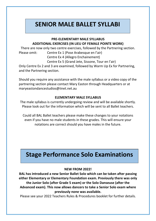# **SENIOR MALE BALLET SYLLABI**

#### **PRE-ELEMENTARY MALE SYLLABUS ADDITIONAL EXERCISES (IN LIEU OF FEMALE POINTE WORK)**

There are now only two centre exercises, followed by the Partnering section. Please omit: Centre Ex 1 (Pose Arabesque en l'air) Centre Ex 4 (Allegro Enchainement)

Centre Ex 5 (Grand Jete, Sissone, Tour en l'air)

Only Centre Ex 2 and 3 are examined, followed by Warm Up Ex for Partnering, and the Partnering section.

Should you require any assistance with the male syllabus or a video copy of the partnering section please contact Mary Easton through Headquarters or at maryeastondancestudios@iinet.net.au

#### **ELEMENTARY MALE SYLLABUS**

The male syllabus is currently undergoing review and will be available shortly. Please look out for the information which will be sent to all Ballet teachers.

Could all BAL Ballet teachers please make these changes to your notations even if you have no male students in these grades. This will ensure your notations are correct should you have males in the future.

# **Stage Performance Solo Examinations**

#### **NEW FROM 2022!**

**BAL has introduced a new Senior Ballet Solo which can be taken after passing either Elementary or Elementary Foundation exam. Previously there was only the Junior Solo (after Grade 5 exam) or the Solo Danseuse (after the Advanced exam). This now allows dancers to take a Senior Solo exam where previously none was available.**

Please see your 2022 Teachers Rules & Procedures booklet for further details.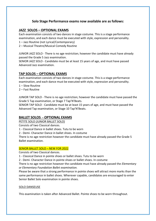#### **Solo Stage Performance exams now available are as follows:**

#### **JAZZ SOLOS – OPTIONAL EXAMS**

Each examination consists of two dances in stage costume. This is a stage performance examination, and each dance must be executed with style, expression and personality.

- 1 Jazz Routine (not Lyrical/Contemporary)
- 2 Musical Theatre/Musical Comedy Routine

JUNIOR JAZZ SOLO - There is no age restriction; however the candidate must have already passed the Grade 5 Jazz examination.

SENIOR JAZZ SOLO - Candidate must be at least 15 years of age, and must have passed Advanced Jazz examination.

#### **TAP SOLOS – OPTIONAL EXAMS**

Each examination consists of two dances in stage costume. This is a stage performance examination, and each dance must be executed with style, expression and personality.

- 1 Slow Routine
- 2 Fast Routine

JUNIOR TAP SOLO - There is no age restriction; however the candidate must have passed the Grade 5 Tap examination, or Stage 7 Tap'N'Beats.

SENIOR TAP SOLO - Candidate must be at least 15 years of age, and must have passed the Advanced Tap examination, or Stage 10 Tap'N'Beats.

#### **BALLET SOLOS - OPTIONAL EXAMS**

PETITE SOLO (JUNIOR BALLET SOLO)

Consists of two Classical dances.

1 - Classical Dance in ballet shoes. Tutu to be worn

2 - Demi- Character Dance in ballet shoes. In costume

There is no age restriction however the candidate must have already passed the Grade 5 Ballet examination.

#### SENIOR BALLET SOLO – NEW FOR 2022

Consists of two Classical dances.

1 - Classical Dance in pointe shoes or ballet shoes. Tutu to be worn

2 - Demi- Character Dance in pointe shoes or ballet shoes. In costume

There is no age restriction however the candidate must have already passed the *Elementary or Elementary Foundation Ballet examination.*

Please be aware that a strong performance in pointe shoes will attract more marks than the same performance in ballet shoes. Wherever capable, candidates are encouraged to enter Senior Ballet Solo examination in pointe shoes.

#### SOLO DANSEUSE

This examination is taken after Advanced Ballet. Pointe shoes to be worn throughout.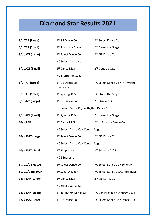# **Diamond Star Results 2021**

| 6/u TAP (Large)   | 1 <sup>st</sup> GB Dance Co             | 2 <sup>nd</sup> Select Dance Co    |
|-------------------|-----------------------------------------|------------------------------------|
| 6/u TAP (Small)   | 1 <sup>st</sup> Storm the Stage         | 2 <sup>nd</sup> Storm the Stage    |
| 6/u JAZZ (Large)  | 1 <sup>st</sup> Select Dance Co         | 2 <sup>nd</sup> GB Dance Co        |
|                   | <b>HC Select Dance Co</b>               |                                    |
| 6/u JAZZ (Small)  | 1 <sup>st</sup> Dance NRG               | 2 <sup>nd</sup> Centre Stage       |
|                   | HC Storm the Stage                      |                                    |
| 8/u TAP (Large)   | 1 <sup>st</sup> GB Dance Co<br>Dance Co | HC Select Dance Co / In Rhythm     |
| 8/u TAP (Small)   | 1 <sup>st</sup> Synergy D & F           | HC Storm the Stage                 |
| 8/u JAZZ (Large)  | 1 <sup>st</sup> GB Dance Co             | 2 <sup>nd</sup> Dance NRG          |
|                   | HC Select Dance Co/ In Rhythm Dance Co  |                                    |
| 8/u JAZZ (Small)  | $1st$ Synergy D & F                     | 2 <sup>nd</sup> Storm the Stage    |
| $10/u$ TAP        | 1 <sup>st</sup> Dance NRG               | 2 <sup>nd</sup> In Rhythm Dance Co |
|                   | HC Select Dance Co / Centre Stage       |                                    |
| 10/u JAZZ (Large) | 1 <sup>st</sup> Select Dance Co         | 2 <sup>nd</sup> GB Dance Co        |
|                   | HC Select Dance Co / Centre Stage       |                                    |
| 10/u JAZZ (Small) | 1 <sup>st</sup> BSupreme                | 2 <sup>nd</sup> Synergy D & F      |
|                   | <b>HC BSupreme</b>                      |                                    |
| 8 & 10/u LYRICAL  | 1 <sup>st</sup> Select Dance Co         | HC Select Dance Co / Synergy       |
| 8 & 10/u HIP HOP  | 1 <sup>st</sup> Synergy D & F           | HC Select Dance Co/Centre Stage    |
| 12/u TAP (Large)  | 1 <sup>st</sup> Dance NRG               | 2 <sup>nd</sup> GB Dance Co        |
|                   | <b>HC Select Dance Co</b>               |                                    |
| 12/u TAP (Small)  | 1 <sup>st</sup> In Rhythm Dance Co      | HC Centre Stage / Synergy D & F    |
| 12/u JAZZ (Large) | 1 <sup>st</sup> GB Dance Co             | HC Select Dance Co / Dance NRG     |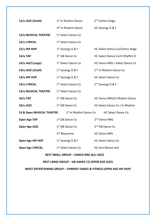| 12/u JAZZ (Small)                    | 1 <sup>st</sup> In Rhythm Dance                | 2 <sup>nd</sup> Centre Stage       |
|--------------------------------------|------------------------------------------------|------------------------------------|
|                                      | 3rd In Rhythm Dance                            | HC Synergy D & F                   |
| 12/u MUSICAL THEATRE                 | 1 <sup>st</sup> Select Dance Co                |                                    |
| 12/u LYRICAL                         | 1 <sup>st</sup> Select Dance Co                |                                    |
| 12/u HIP HOP                         | 1 <sup>st</sup> Synergy D & F                  | HC Select Dance Co/Centre Stage    |
| 14/u TAP                             | 1 <sup>st</sup> GB Dance Co                    | HC Select Dance Co/In Rhythm D     |
| 14/u JAZZ (Large)                    | 1 <sup>st</sup> Select Dance Co                | HC Dance NRG / Select Dance Co     |
| 14/u JAZZ (Small)                    | $1st$ Synergy D & F                            | 2 <sup>nd</sup> In Rhythm Dance Co |
| 14/u HIP HOP                         | $1st$ Synergy D & F                            | <b>HC Select Dance Co</b>          |
| 14/u LYRICAL                         | 1 <sup>st</sup> Select Dance Co                | 2 <sup>nd</sup> Synergy D & F      |
| 14/u MUSICAL THEATRE                 | 1 <sup>st</sup> Select Dance Co                |                                    |
| 16/u TAP                             | 1 <sup>st</sup> GB Dance Co                    | HC Dance NRG/In Rhythm Dance       |
| 16/u JAZZ                            | 1 <sup>st</sup> GB Dance Co                    | HC Select Dance Co / In Rhythm     |
| <b>16 &amp; Open MUSICAL THEATRE</b> | 1 <sup>st</sup> In Rhythm Dance Co             | <b>HC Select Dance Co</b>          |
| <b>Open Age TAP</b>                  | 1 <sup>st</sup> GB Dance Co                    | 2 <sup>nd</sup> Dance NRG          |
| Open Age JAZZ                        | 1 <sup>st</sup> GB Dance Co                    | 2 <sup>nd</sup> GB Dance Co        |
|                                      | 3rd BSupreme                                   | <b>HC Dance NRG</b>                |
| Open Age HIP HOP                     | 1 <sup>st</sup> Synergy D & F                  | <b>HC Select Dance Co</b>          |
| <b>Open Age LYRICAL</b>              | 1 <sup>st</sup> Select Dance Co                | <b>HC Ann-Maree SoD</b>            |
|                                      | <b>BEST SMALL GROUP - DANCE NRG (6/u JAZZ)</b> |                                    |

#### **BEST LARGE GROUP – GB DANCE CO (OPEN AGE JAZZ)**

**MOST ENTERTAINING GROUP – SYNERGY DANCE & FITNESS (OPEN AGE HIP HOP)**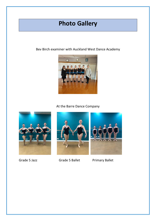# **Photo Gallery**

Bev Birch examiner with Auckland West Dance Academy



#### At the Barre Dance Company





Grade 5 Jazz **Grade 5 Ballet** Primary Ballet

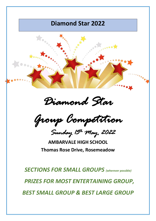### **Diamond Star 2022**



*Group Competition* 

*Sunday 15th May, 2022* 

**AMBARVALE HIGH SCHOOL Thomas Rose Drive, Rosemeadow**

*SECTIONS FOR SMALL GROUPS (wherever possible) PRIZES FOR MOST ENTERTAINING GROUP, BEST SMALL GROUP & BEST LARGE GROUP*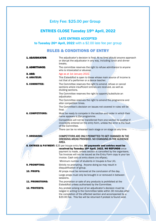### Entry Fee: \$25.00 per Group

### ENTRIES CLOSE Tuesday 19th April, 2022

LATE ENTRIES ACCEPTED

to Tuesday 26<sup>th</sup> April, 2022 with a \$2.00 late fee per group

### RULES & CONDITIONS OF ENTRY

| <b>1. ADJUDICATOR:</b> | The adjudicator's decision is final. At no time should anyone approach<br>or disrupt the adjudicator in any way, including lunch and dinner<br>breaks.                                                                                                               |
|------------------------|----------------------------------------------------------------------------------------------------------------------------------------------------------------------------------------------------------------------------------------------------------------------|
| <b>2. ADMITTANCE:</b>  | The committee reserves the right to refuse admittance to anyone<br>who is intoxicated or abusive.                                                                                                                                                                    |
| 3. AGE:                | Age as at 1st January 2022.                                                                                                                                                                                                                                          |
| <b>4. AMATEUR:</b>     | This Eisteddfod is open to those whose main source of income is<br>not that of a performer or a dance teacher.                                                                                                                                                       |
| <b>5. COMMITTEE:</b>   | The Committee reserves the right to amend, refuse or cancel<br>sections where insufficient entries are received, as well as<br>dividing sections.                                                                                                                    |
|                        | The Committee reserves the right to appoint/substitute an<br>adjudicator.                                                                                                                                                                                            |
|                        | The Committee reserves the right to amend the programme and<br>alter competition times.                                                                                                                                                                              |
|                        | The Committee's decision on issues not covered in rules will be<br>final.                                                                                                                                                                                            |
| <b>6. COMPETITORS:</b> | Must be ready to compete in the section and order in which their<br>name appears in the programme.                                                                                                                                                                   |
|                        | Competitors will not be transferred from one section to another if                                                                                                                                                                                                   |
|                        | incorrectly entered on the entry form, unless the error is the fault<br>of the Committee.                                                                                                                                                                            |
|                        | There can be no rehearsal back stage or on stage at any time.                                                                                                                                                                                                        |
| 7. DRESSING:           | COMPETITORS ARE ONLY PERMITTED TO GET CHANGED IN THE<br>DRESSING AREAS PROVIDED. NO CHANGING IN THE AUDIENCE<br>AREA.                                                                                                                                                |
|                        | 8. ENTRIES & PAYMENT: \$25 per troupe entry fee. All payments and entries must be                                                                                                                                                                                    |
|                        | received by Tuesday 19th April, 2022. NO REFUNDS once                                                                                                                                                                                                                |
|                        | payment is made, unless section is cancelled by the organisers.<br>Tax Invoices will not be issued as the Entry Form copy is your tax                                                                                                                                |
|                        | invoice. Cash only at entry doors (no eftpos).                                                                                                                                                                                                                       |
|                        | Minimum number of students in troupes is four (4).                                                                                                                                                                                                                   |
| 9. PROMPTING:          | Strictly no prompting. Anyone doing so may result in<br>disqualification of group.                                                                                                                                                                                   |
| <b>10. PROPS:</b>      | All props must be removed at the conclusion of the day.                                                                                                                                                                                                              |
|                        | Large props must only be brought in or removed in between<br>sessions.                                                                                                                                                                                               |
| <b>11. PROMOTIONS:</b> | The promotion or sale of any products is prohibited at the<br>Eisteddfod unless authorised by the Committee.                                                                                                                                                         |
| <b>12. PROTESTS:</b>   | Any protest arising out of an adjudicator's decision must be<br>lodged in writing to the Committee table within 30 minutes after<br>the completion of the affected section and accompanied by a<br>\$20.00 fee. This fee will be returned if protest is found valid. |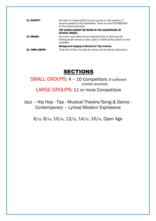| <b>13. SAFETY:</b>      | We take no responsibility for any injuries or lost property of<br>anyone present at the Eisteddfod. There is to be NO SMOKING<br>on the school premises.<br>TAP SHOES CANNOT BE WORN IN THE AUDITORIUM, BY<br><b>SCHOOL ORDER.</b> |
|-------------------------|------------------------------------------------------------------------------------------------------------------------------------------------------------------------------------------------------------------------------------|
| <b>14. MUSIC:</b>       | All music must either be on individual CDs (1 track per CD,<br>stating studio name) or lpod, ipad or mobile phone option is also<br>available.                                                                                     |
|                         | Background singing is allowed for Tap routines.                                                                                                                                                                                    |
| <b>15. TIME LIMITS:</b> | Time limit of four minutes per dance will be strictly adhered to.                                                                                                                                                                  |

### SECTIONS

### SMALL GROUPS: 4 - 10 Competitors (if sufficient entries received) LARGE GROUPS: 11 or more Competitors

Jazz – Hip Hop - Tap - Musical Theatre/Song & Dance - Contemporary – Lyrical/Modern Expressive

6/u, 8/u, 10/u, 12/u, 14/u, 16/u, Open Age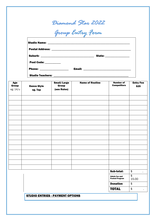|                          |                               |                                            | Diamond Star 2022<br>Group Entry Form |                                               |                          |
|--------------------------|-------------------------------|--------------------------------------------|---------------------------------------|-----------------------------------------------|--------------------------|
|                          |                               |                                            |                                       |                                               |                          |
|                          |                               |                                            |                                       |                                               |                          |
|                          | Post Code: __________         |                                            |                                       |                                               |                          |
|                          |                               | Phone: ____________________                |                                       |                                               |                          |
|                          |                               |                                            |                                       |                                               |                          |
| Age<br>Group<br>eg: 14/u | <b>Dance Style</b><br>eg. Tap | <b>Small/Large</b><br>Group<br>(see Rules) | <b>Name of Routine</b>                | <b>Number of</b><br><b>Competitors</b>        | <b>Entry Fee</b><br>\$25 |
|                          |                               |                                            |                                       |                                               |                          |
|                          |                               |                                            |                                       |                                               |                          |
|                          |                               |                                            |                                       |                                               |                          |
|                          |                               |                                            |                                       |                                               |                          |
|                          |                               |                                            |                                       |                                               |                          |
|                          |                               |                                            |                                       |                                               |                          |
|                          |                               |                                            |                                       |                                               |                          |
|                          |                               |                                            |                                       |                                               |                          |
|                          |                               |                                            |                                       |                                               |                          |
|                          |                               |                                            |                                       |                                               |                          |
|                          |                               |                                            |                                       |                                               |                          |
|                          |                               |                                            |                                       | Sub-total:                                    | \$                       |
|                          |                               |                                            |                                       | <b>Admin fee and</b><br><b>Posted Program</b> | \$<br>15.00              |
|                          |                               |                                            |                                       | <b>Donation</b>                               | \$                       |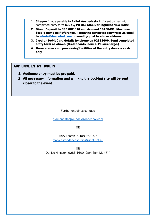- 1. Cheque [made payable to Ballet Australasia Ltd] sent by mail with completed entry form to BAL, PO Box 593, Darlinghurst NSW 1300.
- 2. Direct Deposit to BSB 062 016 and Account 10108431. Must use Studio name as Reference. Return the completed entry form via email to [admin@dancebal.com](mailto:admin@dancebal.com) or send by post to above address
- 3. Credit / Debit Card details by phone on 92831600. Send completed entry form as above. (Credit cards incur a 1% surcharge.)
- 4. There are no card processing facilities at the entry doors cash only

#### AUDIENCE ENTRY TICKETS

- 1. Audience entry must be pre-paid.
- 2. All necessary information and a link to the booking site will be sent closer to the event

Further enquiries contact:

[diamondstargroupday@dancebal.com](mailto:diamondstargroupday@dancebal.com)

OR

Mary Easton 0408 462 926 [maryeastondancestudios@iinet.net.au](mailto:maryeastondancestudios@iinet.net.au)

OR Denise Hingston 9283 1600 (9am-4pm Mon-Fri)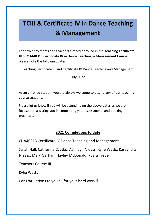# **TCIII & Certificate IV in Dance Teaching & Management**

For new enrolments and teachers already enrolled in the **Teaching Certificate III or CUA40313 Certificate IV in Dance Teaching & Management Course**, please note the following dates:

Teaching Certificate III and Certificate IV Dance Teaching and Management

July 2022

As an enrolled student you are always welcome to attend any of our teaching course sessions.

Please let us know if you will be attending on the above dates as we are focused on assisting you in completing your assessments and booking practicals.

### **2021 Completions to date**

#### CUA40313 Certificate IV Dance Teaching and Management

Sarah Hall, Catherine Cvetko, Ashliegh Nieass, Kylie Watts, Kassandra Nieass, Mary Gartlan, Hayley McDonald, Kyara Treuer

Teachers Course III

Kylie Watts

Congratulations to you all for your hard work!!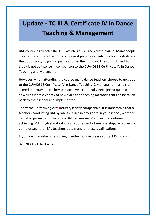# **Update - TC III & Certificate IV in Dance Teaching & Management**

BAL continues to offer the TCIII which is a BAL accredited course. Many people choose to complete the TCIII course as it provides an introduction to study and the opportunity to gain a qualification in the industry. The commitment to study is not as intense in comparison to the CUA40313 Certificate IV in Dance Teaching and Management.

However, when attending the course many dance teachers choose to upgrade to the CUA40313 Certificate IV in Dance Teaching & Management as it is an accredited course. Teachers can achieve a Nationally Recognised qualification as well as learn a variety of new skills and teaching methods that can be taken back to their school and implemented.

Today the Performing Arts Industry is very competitive. It is imperative that all teachers conducting BAL syllabus classes in any genre in your school, whether casual or permanent, become a BAL Provisional Member. To continue achieving BAL's high standard it is a requirement of membership, regardless of genre or age, that BAL teachers obtain one of these qualifications.

If you are interested in enrolling in either course please contact Donna on

02 9283 1600 to discuss.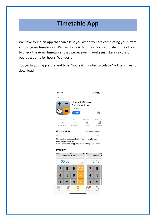# **Timetable App**

We have found an App that can assist you when you are completing your Exam and program timetables. We use Hours & Minutes Calculator Lite in the office to check the exam timetables that we receive. It works just like a calculator, but it accounts for hours. Wonderful!!

You go to your app store and type "hours & minutes calculator" – Lite is free to download.